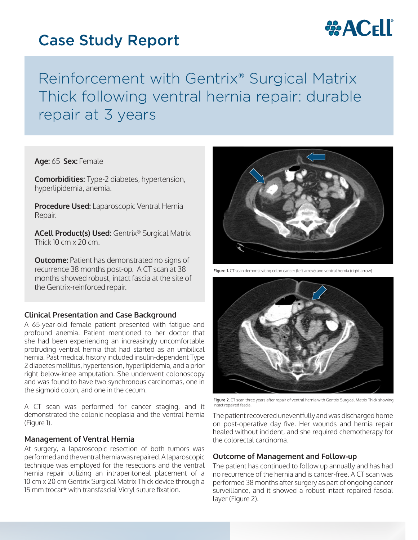# Case Study Report



Reinforcement with Gentrix® Surgical Matrix Thick following ventral hernia repair: durable repair at 3 years

**Age:** 65 **Sex:** Female

**Comorbidities:** Type-2 diabetes, hypertension, hyperlipidemia, anemia.

**Procedure Used:** Laparoscopic Ventral Hernia Repair.

**ACell Product(s) Used:** Gentrix® Surgical Matrix Thick  $10 \text{ cm} \times 20 \text{ cm}$ 

**Outcome:** Patient has demonstrated no signs of recurrence 38 months post-op. A CT scan at 38 months showed robust, intact fascia at the site of the Gentrix-reinforced repair.

## **Clinical Presentation and Case Background**

A 65-year-old female patient presented with fatigue and profound anemia. Patient mentioned to her doctor that she had been experiencing an increasingly uncomfortable protruding ventral hernia that had started as an umbilical hernia. Past medical history included insulin-dependent Type 2 diabetes mellitus, hypertension, hyperlipidemia, and a prior right below-knee amputation. She underwent colonoscopy and was found to have two synchronous carcinomas, one in the sigmoid colon, and one in the cecum.

A CT scan was performed for cancer staging, and it demonstrated the colonic neoplasia and the ventral hernia (Figure 1).

## **Management of Ventral Hernia**

At surgery, a laparoscopic resection of both tumors was performed and the ventral hernia was repaired. A laparoscopic technique was employed for the resections and the ventral hernia repair utilizing an intraperitoneal placement of a 10 cm x 20 cm Gentrix Surgical Matrix Thick device through a 15 mm trocar\* with transfascial Vicryl suture fixation.



**Figure 1.** CT scan demonstrating colon cancer (left arrow) and ventral hernia (right arrow).



**Figure 2.** CT scan three years after repair of ventral hernia with Gentrix Surgical Matrix Thick showing intact repaired fascia.

The patient recovered uneventfully and was discharged home on post-operative day five. Her wounds and hernia repair healed without incident, and she required chemotherapy for the colorectal carcinoma.

## **Outcome of Management and Follow-up**

The patient has continued to follow up annually and has had no recurrence of the hernia and is cancer-free. A CT scan was performed 38 months after surgery as part of ongoing cancer surveillance, and it showed a robust intact repaired fascial layer (Figure 2).